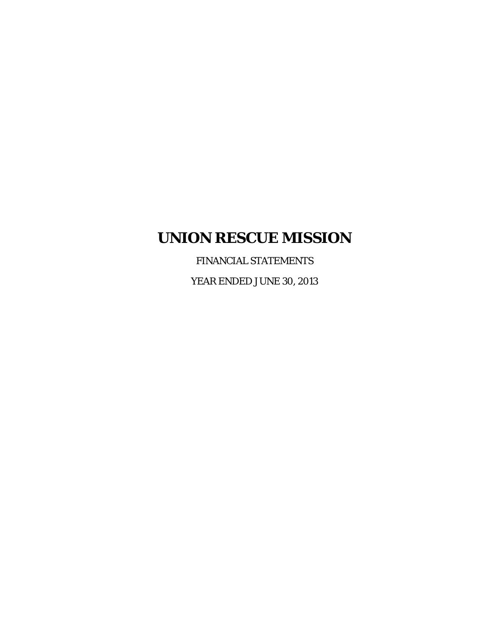FINANCIAL STATEMENTS

YEAR ENDED JUNE 30, 2013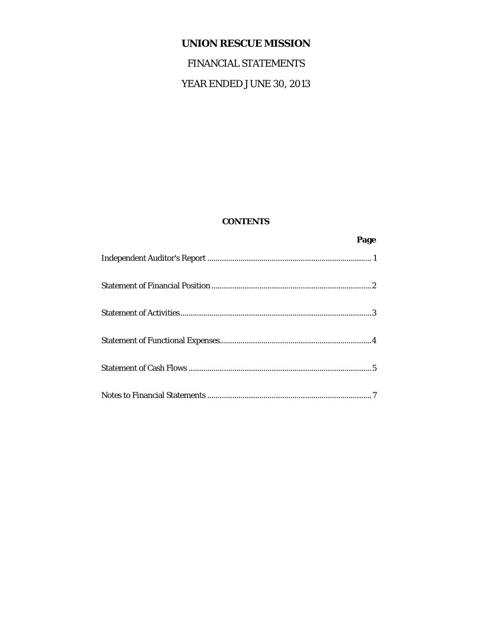# FINANCIAL STATEMENTS

# YEAR ENDED JUNE 30, 2013

# **CONTENTS**

| Page |
|------|
|      |
|      |
|      |
|      |
|      |
|      |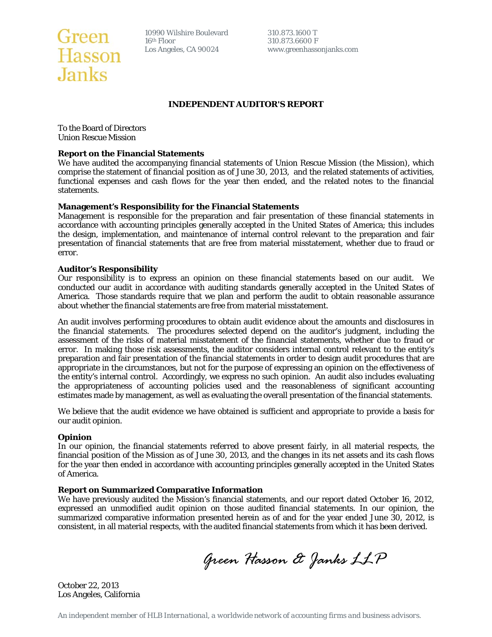

10990 Wilshire Boulevard 310.873.1600 T<br>16<sup>th</sup> Floor 310.873.6600 F **16th Floor** 310.873.6600 F

Los Angeles, CA 90024 www.greenhassonjanks.com

#### **INDEPENDENT AUDITOR'S REPORT**

To the Board of Directors Union Rescue Mission

#### **Report on the Financial Statements**

We have audited the accompanying financial statements of Union Rescue Mission (the Mission), which comprise the statement of financial position as of June 30, 2013, and the related statements of activities, functional expenses and cash flows for the year then ended, and the related notes to the financial statements.

#### **Management's Responsibility for the Financial Statements**

Management is responsible for the preparation and fair presentation of these financial statements in accordance with accounting principles generally accepted in the United States of America; this includes the design, implementation, and maintenance of internal control relevant to the preparation and fair presentation of financial statements that are free from material misstatement, whether due to fraud or error.

#### **Auditor's Responsibility**

Our responsibility is to express an opinion on these financial statements based on our audit. We conducted our audit in accordance with auditing standards generally accepted in the United States of America. Those standards require that we plan and perform the audit to obtain reasonable assurance about whether the financial statements are free from material misstatement.

An audit involves performing procedures to obtain audit evidence about the amounts and disclosures in the financial statements. The procedures selected depend on the auditor's judgment, including the assessment of the risks of material misstatement of the financial statements, whether due to fraud or error. In making those risk assessments, the auditor considers internal control relevant to the entity's preparation and fair presentation of the financial statements in order to design audit procedures that are appropriate in the circumstances, but not for the purpose of expressing an opinion on the effectiveness of the entity's internal control. Accordingly, we express no such opinion. An audit also includes evaluating the appropriateness of accounting policies used and the reasonableness of significant accounting estimates made by management, as well as evaluating the overall presentation of the financial statements.

We believe that the audit evidence we have obtained is sufficient and appropriate to provide a basis for our audit opinion.

#### **Opinion**

In our opinion, the financial statements referred to above present fairly, in all material respects, the financial position of the Mission as of June 30, 2013, and the changes in its net assets and its cash flows for the year then ended in accordance with accounting principles generally accepted in the United States of America.

#### **Report on Summarized Comparative Information**

We have previously audited the Mission's financial statements, and our report dated October 16, 2012, expressed an unmodified audit opinion on those audited financial statements. In our opinion, the summarized comparative information presented herein as of and for the year ended June 30, 2012, is consistent, in all material respects, with the audited financial statements from which it has been derived.

*Green Hasson & Janks LLP* 

October 22, 2013 Los Angeles, California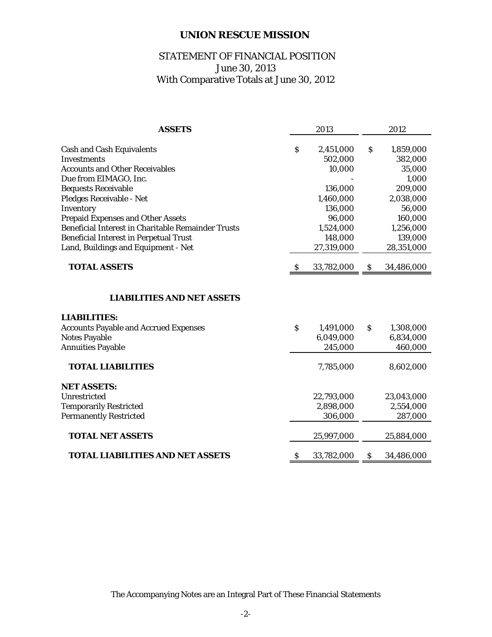# STATEMENT OF FINANCIAL POSITION June 30, 2013 With Comparative Totals at June 30, 2012

| <b>ASSETS</b>                                             |                    | 2013       | 2012             |  |
|-----------------------------------------------------------|--------------------|------------|------------------|--|
|                                                           |                    |            |                  |  |
| <b>Cash and Cash Equivalents</b>                          | $\mathsf{\hat{S}}$ | 2,451,000  | \$<br>1,859,000  |  |
| <b>Investments</b>                                        |                    | 502,000    | 382,000          |  |
| <b>Accounts and Other Receivables</b>                     |                    | 10,000     | 35,000           |  |
| Due from EIMAGO, Inc.                                     |                    |            | 1,000            |  |
| <b>Bequests Receivable</b>                                |                    | 136,000    | 209,000          |  |
| Pledges Receivable - Net                                  |                    | 1,460,000  | 2,038,000        |  |
| Inventory                                                 |                    | 136,000    | 56,000           |  |
| <b>Prepaid Expenses and Other Assets</b>                  |                    | 96,000     | 160,000          |  |
| <b>Beneficial Interest in Charitable Remainder Trusts</b> |                    | 1,524,000  | 1,256,000        |  |
| <b>Beneficial Interest in Perpetual Trust</b>             |                    | 148,000    | 139,000          |  |
| Land, Buildings and Equipment - Net                       |                    | 27,319,000 | 28,351,000       |  |
| <b>TOTAL ASSETS</b>                                       | \$                 |            | 34,486,000       |  |
|                                                           |                    | 33,782,000 | \$               |  |
| <b>LIABILITIES AND NET ASSETS</b>                         |                    |            |                  |  |
| <b>LIABILITIES:</b>                                       |                    |            |                  |  |
| <b>Accounts Payable and Accrued Expenses</b>              | \$                 | 1,491,000  | \$<br>1,308,000  |  |
| <b>Notes Payable</b>                                      |                    | 6,049,000  | 6,834,000        |  |
| <b>Annuities Payable</b>                                  |                    | 245,000    | 460,000          |  |
| <b>TOTAL LIABILITIES</b>                                  |                    | 7,785,000  | 8,602,000        |  |
| <b>NET ASSETS:</b>                                        |                    |            |                  |  |
| Unrestricted                                              |                    | 22,793,000 | 23,043,000       |  |
| <b>Temporarily Restricted</b>                             |                    | 2,898,000  | 2,554,000        |  |
| <b>Permanently Restricted</b>                             |                    | 306,000    | 287,000          |  |
| <b>TOTAL NET ASSETS</b>                                   |                    | 25,997,000 | 25,884,000       |  |
| <b>TOTAL LIABILITIES AND NET ASSETS</b>                   | \$                 | 33,782,000 | \$<br>34,486,000 |  |

The Accompanying Notes are an Integral Part of These Financial Statements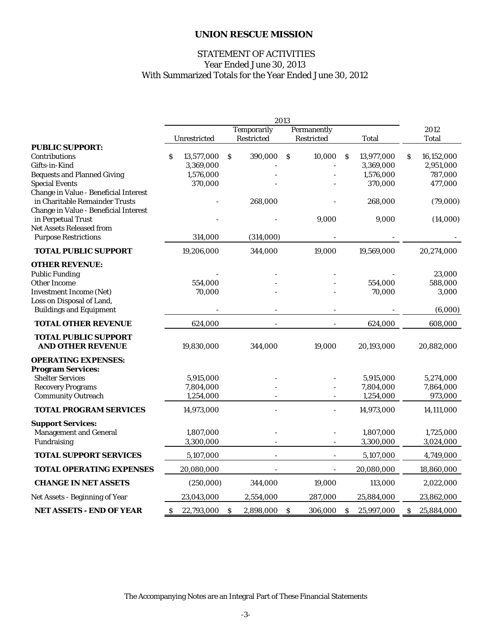# STATEMENT OF ACTIVITIES Year Ended June 30, 2013 With Summarized Totals for the Year Ended June 30, 2012

|                                                                                                      |                                     | 2013            |              |             |              |                                     |    |                                   |
|------------------------------------------------------------------------------------------------------|-------------------------------------|-----------------|--------------|-------------|--------------|-------------------------------------|----|-----------------------------------|
|                                                                                                      |                                     | Temporarily     |              | Permanently |              |                                     |    | 2012                              |
| <b>PUBLIC SUPPORT:</b>                                                                               | Unrestricted                        | Restricted      |              | Restricted  |              | Total                               |    | Total                             |
| Contributions<br>Gifts-in-Kind                                                                       | Ś<br>13,577,000<br>3,369,000        | \$<br>390,000   | <sub>S</sub> | 10,000      | <sub>S</sub> | 13,977,000<br>3,369,000             | \$ | 16,152,000<br>2,951,000           |
| <b>Bequests and Planned Giving</b><br><b>Special Events</b><br>Change in Value - Beneficial Interest | 1,576,000<br>370,000                |                 |              |             |              | 1,576,000<br>370,000                |    | 787,000<br>477,000                |
| in Charitable Remainder Trusts<br>Change in Value - Beneficial Interest<br>in Perpetual Trust        |                                     | 268,000         |              | 9,000       |              | 268,000<br>9,000                    |    | (79,000)<br>(14,000)              |
| <b>Net Assets Released from</b><br><b>Purpose Restrictions</b>                                       | 314,000                             | (314,000)       |              |             |              |                                     |    |                                   |
| <b>TOTAL PUBLIC SUPPORT</b>                                                                          | 19,206,000                          | 344,000         |              | 19,000      |              | 19,569,000                          |    | 20,274,000                        |
| <b>OTHER REVENUE:</b><br><b>Public Funding</b><br><b>Other Income</b>                                | 554,000                             |                 |              |             |              | 554.000                             |    | 23,000<br>588,000                 |
| <b>Investment Income (Net)</b><br>Loss on Disposal of Land,<br><b>Buildings and Equipment</b>        | 70,000                              |                 |              |             |              | 70,000                              |    | 3,000<br>(6,000)                  |
| <b>TOTAL OTHER REVENUE</b>                                                                           | 624,000                             |                 |              |             |              | 624,000                             |    | 608,000                           |
| TOTAL PUBLIC SUPPORT<br><b>AND OTHER REVENUE</b>                                                     | 19,830,000                          | 344,000         |              | 19,000      |              | 20,193,000                          |    | 20,882,000                        |
| <b>OPERATING EXPENSES:</b><br><b>Program Services:</b>                                               |                                     |                 |              |             |              |                                     |    |                                   |
| <b>Shelter Services</b><br><b>Recovery Programs</b><br><b>Community Outreach</b>                     | 5,915,000<br>7,804,000<br>1,254,000 |                 |              |             |              | 5,915,000<br>7,804,000<br>1,254,000 |    | 5,274,000<br>7,864,000<br>973,000 |
| <b>TOTAL PROGRAM SERVICES</b>                                                                        | 14,973,000                          |                 |              |             |              | 14,973,000                          |    | 14,111,000                        |
| <b>Support Services:</b><br><b>Management and General</b>                                            | 1,807,000                           |                 |              |             |              | 1,807,000                           |    | 1,725,000                         |
| Fundraising                                                                                          | 3,300,000                           |                 |              |             |              | 3,300,000                           |    | 3,024,000                         |
| <b>TOTAL SUPPORT SERVICES</b>                                                                        | 5,107,000                           |                 |              |             |              | 5,107,000                           |    | 4,749,000                         |
| TOTAL OPERATING EXPENSES                                                                             | 20,080,000                          |                 |              |             |              | 20,080,000                          |    | 18,860,000                        |
| <b>CHANGE IN NET ASSETS</b>                                                                          | (250,000)                           | 344,000         |              | 19,000      |              | 113,000                             |    | 2,022,000                         |
| Net Assets - Beginning of Year                                                                       | 23,043,000                          | 2,554,000       |              | 287,000     |              | 25,884,000                          |    | 23,862,000                        |
| <b>NET ASSETS - END OF YEAR</b>                                                                      | 22,793,000<br>\$                    | \$<br>2,898,000 | S            | 306,000     | Ŝ            | 25,997,000                          | S  | 25,884,000                        |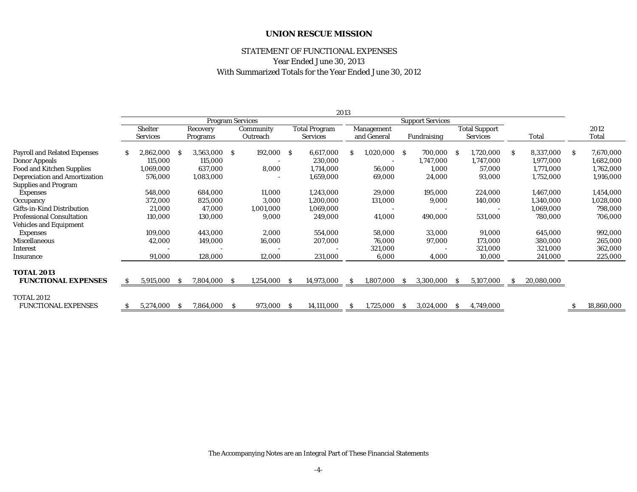# STATEMENT OF FUNCTIONAL EXPENSES Year Ended June 30, 2013 With Summarized Totals for the Year Ended June 30, 2012

|                                      | 2013 |                 |    |                         |              |            |    |                      |   |              |                         |    |                      |   |            |    |            |
|--------------------------------------|------|-----------------|----|-------------------------|--------------|------------|----|----------------------|---|--------------|-------------------------|----|----------------------|---|------------|----|------------|
|                                      |      |                 |    | <b>Program Services</b> |              |            |    |                      |   |              | <b>Support Services</b> |    |                      |   |            |    |            |
|                                      |      | <b>Shelter</b>  |    | Recovery                |              | Community  |    | <b>Total Program</b> |   | Management   |                         |    | <b>Total Support</b> |   |            |    | 2012       |
|                                      |      | <b>Services</b> |    | Programs                |              | Outreach   |    | <b>Services</b>      |   | and General  | Fundraising             |    | <b>Services</b>      |   | Total      |    | Total      |
| <b>Payroll and Related Expenses</b>  |      | 2,862,000       | -S | 3,563,000 S             |              | 192,000 \$ |    | 6,617,000            | S | 1,020,000 \$ | 700.000                 | -S | 1,720,000            | S | 8,337,000  | -S | 7,670,000  |
| <b>Donor Appeals</b>                 |      | 115,000         |    | 115,000                 |              |            |    | 230,000              |   |              | 1,747,000               |    | 1,747,000            |   | 1,977,000  |    | 1,682,000  |
| <b>Food and Kitchen Supplies</b>     |      | 1,069,000       |    | 637,000                 |              | 8,000      |    | 1,714,000            |   | 56,000       | 1,000                   |    | 57,000               |   | 1,771,000  |    | 1,762,000  |
| <b>Depreciation and Amortization</b> |      | 576,000         |    | 1,083,000               |              |            |    | 1,659,000            |   | 69,000       | 24,000                  |    | 93,000               |   | 1,752,000  |    | 1,916,000  |
| <b>Supplies and Program</b>          |      |                 |    |                         |              |            |    |                      |   |              |                         |    |                      |   |            |    |            |
| <b>Expenses</b>                      |      | 548,000         |    | 684,000                 |              | 11,000     |    | 1,243,000            |   | 29,000       | 195,000                 |    | 224,000              |   | 1,467,000  |    | 1,454,000  |
| Occupancy                            |      | 372,000         |    | 825,000                 |              | 3,000      |    | 1,200,000            |   | 131,000      | 9,000                   |    | 140,000              |   | 1,340,000  |    | 1,028,000  |
| Gifts-in-Kind Distribution           |      | 21,000          |    | 47,000                  |              | 1,001,000  |    | 1,069,000            |   |              |                         |    |                      |   | 1,069,000  |    | 798,000    |
| <b>Professional Consultation</b>     |      | 110,000         |    | 130,000                 |              | 9,000      |    | 249,000              |   | 41,000       | 490,000                 |    | 531,000              |   | 780,000    |    | 706,000    |
| <b>Vehicles and Equipment</b>        |      |                 |    |                         |              |            |    |                      |   |              |                         |    |                      |   |            |    |            |
| <b>Expenses</b>                      |      | 109,000         |    | 443,000                 |              | 2,000      |    | 554,000              |   | 58,000       | 33,000                  |    | 91,000               |   | 645,000    |    | 992,000    |
| <b>Miscellaneous</b>                 |      | 42,000          |    | 149,000                 |              | 16,000     |    | 207,000              |   | 76,000       | 97,000                  |    | 173,000              |   | 380,000    |    | 265,000    |
| <b>Interest</b>                      |      |                 |    |                         |              |            |    |                      |   | 321,000      |                         |    | 321,000              |   | 321,000    |    | 362,000    |
| Insurance                            |      | 91,000          |    | 128,000                 |              | 12,000     |    | 231,000              |   | 6,000        | 4,000                   |    | 10,000               |   | 241,000    |    | 225,000    |
| <b>TOTAL 2013</b>                    |      |                 |    |                         |              |            |    |                      |   |              |                         |    |                      |   |            |    |            |
| <b>FUNCTIONAL EXPENSES</b>           | S    | 5,915,000       |    | 7,804,000               | <b>S</b>     | 1,254,000  |    | 14,973,000           | S | 1,807,000    | 3,300,000               | -S | 5,107,000            | S | 20,080,000 |    |            |
|                                      |      |                 |    |                         |              |            |    |                      |   |              |                         |    |                      |   |            |    |            |
| <b>TOTAL 2012</b>                    |      |                 |    |                         |              |            |    |                      |   |              |                         |    |                      |   |            |    |            |
| <b>FUNCTIONAL EXPENSES</b>           |      | 5,274,000       |    | 7,864,000               | <sub>S</sub> | 973,000    | -S | 14,111,000           | S | 1,725,000    | 3,024,000               | -S | 4,749,000            |   |            |    | 18,860,000 |
|                                      |      |                 |    |                         |              |            |    |                      |   |              |                         |    |                      |   |            |    |            |

The Accompanying Notes are an Integral Part of These Financial Statements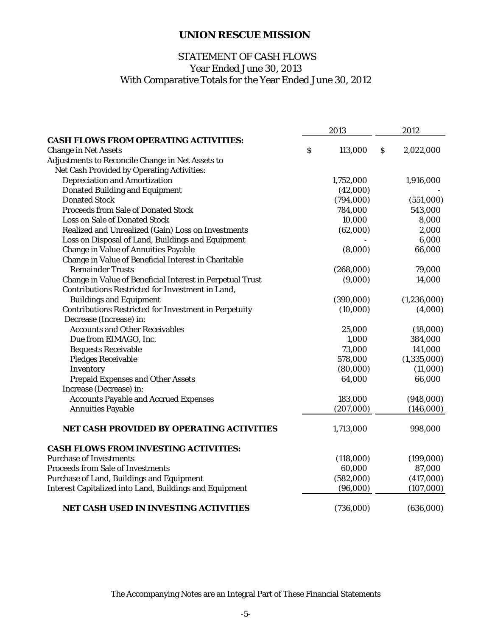# With Comparative Totals for the Year Ended June 30, 2012 STATEMENT OF CASH FLOWS Year Ended June 30, 2013

|                                                                | 2013          | 2012            |  |
|----------------------------------------------------------------|---------------|-----------------|--|
| <b>CASH FLOWS FROM OPERATING ACTIVITIES:</b>                   |               |                 |  |
| <b>Change in Net Assets</b>                                    | \$<br>113,000 | \$<br>2,022,000 |  |
| Adjustments to Reconcile Change in Net Assets to               |               |                 |  |
| Net Cash Provided by Operating Activities:                     |               |                 |  |
| <b>Depreciation and Amortization</b>                           | 1,752,000     | 1,916,000       |  |
| <b>Donated Building and Equipment</b>                          | (42,000)      |                 |  |
| <b>Donated Stock</b>                                           | (794,000)     | (551,000)       |  |
| <b>Proceeds from Sale of Donated Stock</b>                     | 784,000       | 543,000         |  |
| <b>Loss on Sale of Donated Stock</b>                           | 10,000        | 8,000           |  |
| Realized and Unrealized (Gain) Loss on Investments             | (62,000)      | 2,000           |  |
| Loss on Disposal of Land, Buildings and Equipment              |               | 6,000           |  |
| <b>Change in Value of Annuities Payable</b>                    | (8,000)       | 66,000          |  |
| Change in Value of Beneficial Interest in Charitable           |               |                 |  |
| <b>Remainder Trusts</b>                                        | (268,000)     | 79,000          |  |
| Change in Value of Beneficial Interest in Perpetual Trust      | (9,000)       | 14,000          |  |
| Contributions Restricted for Investment in Land,               |               |                 |  |
| <b>Buildings and Equipment</b>                                 | (390,000)     | (1,236,000)     |  |
| <b>Contributions Restricted for Investment in Perpetuity</b>   | (10,000)      | (4,000)         |  |
| Decrease (Increase) in:                                        |               |                 |  |
| <b>Accounts and Other Receivables</b>                          | 25,000        | (18,000)        |  |
| Due from EIMAGO, Inc.                                          | 1,000         | 384,000         |  |
| <b>Bequests Receivable</b>                                     | 73,000        | 141,000         |  |
| <b>Pledges Receivable</b>                                      | 578,000       | (1,335,000)     |  |
| Inventory                                                      | (80,000)      | (11,000)        |  |
| <b>Prepaid Expenses and Other Assets</b>                       | 64,000        | 66,000          |  |
| Increase (Decrease) in:                                        |               |                 |  |
| <b>Accounts Payable and Accrued Expenses</b>                   | 183,000       | (948,000)       |  |
| <b>Annuities Payable</b>                                       | (207,000)     | (146,000)       |  |
| <b>NET CASH PROVIDED BY OPERATING ACTIVITIES</b>               | 1,713,000     | 998,000         |  |
| <b>CASH FLOWS FROM INVESTING ACTIVITIES:</b>                   |               |                 |  |
| <b>Purchase of Investments</b>                                 | (118,000)     | (199,000)       |  |
| <b>Proceeds from Sale of Investments</b>                       | 60,000        | 87,000          |  |
| Purchase of Land, Buildings and Equipment                      | (582,000)     | (417,000)       |  |
| <b>Interest Capitalized into Land, Buildings and Equipment</b> | (96,000)      | (107,000)       |  |
| NET CASH USED IN INVESTING ACTIVITIES                          | (736,000)     | (636,000)       |  |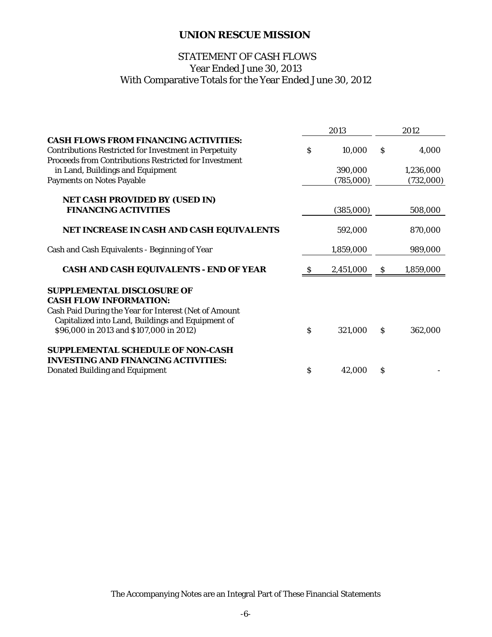# With Comparative Totals for the Year Ended June 30, 2012 STATEMENT OF CASH FLOWS Year Ended June 30, 2013

|                                                                                                                                                       |             | 2013      |    | 2012      |
|-------------------------------------------------------------------------------------------------------------------------------------------------------|-------------|-----------|----|-----------|
| <b>CASH FLOWS FROM FINANCING ACTIVITIES:</b><br><b>Contributions Restricted for Investment in Perpetuity</b>                                          | \$          | 10,000    | \$ | 4,000     |
| <b>Proceeds from Contributions Restricted for Investment</b><br>in Land, Buildings and Equipment                                                      |             | 390,000   |    | 1,236,000 |
| <b>Payments on Notes Payable</b>                                                                                                                      |             | (785,000) |    | (732,000) |
| <b>NET CASH PROVIDED BY (USED IN)</b>                                                                                                                 |             |           |    |           |
| <b>FINANCING ACTIVITIES</b>                                                                                                                           |             | (385,000) |    | 508,000   |
| NET INCREASE IN CASH AND CASH EQUIVALENTS                                                                                                             |             | 592,000   |    | 870,000   |
| Cash and Cash Equivalents - Beginning of Year                                                                                                         |             | 1,859,000 |    | 989,000   |
| <b>CASH AND CASH EQUIVALENTS - END OF YEAR</b>                                                                                                        |             | 2,451,000 | S  | 1,859,000 |
| SUPPLEMENTAL DISCLOSURE OF<br><b>CASH FLOW INFORMATION:</b>                                                                                           |             |           |    |           |
| Cash Paid During the Year for Interest (Net of Amount<br>Capitalized into Land, Buildings and Equipment of<br>\$96,000 in 2013 and \$107,000 in 2012) | $\mathbf S$ | 321,000   | S  | 362,000   |
| <b>SUPPLEMENTAL SCHEDULE OF NON-CASH</b><br><b>INVESTING AND FINANCING ACTIVITIES:</b>                                                                |             |           |    |           |
| Donated Building and Equipment                                                                                                                        | Ś           | 42.000    | S  |           |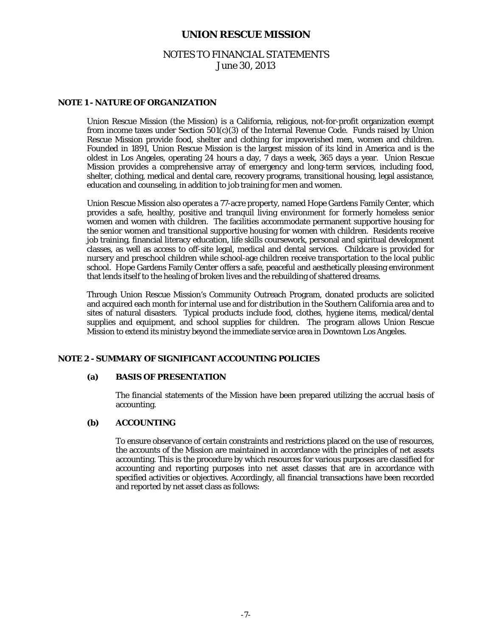# NOTES TO FINANCIAL STATEMENTS June 30, 2013

#### **NOTE 1 - NATURE OF ORGANIZATION**

Union Rescue Mission (the Mission) is a California, religious, not-for-profit organization exempt from income taxes under Section  $501(c)(3)$  of the Internal Revenue Code. Funds raised by Union Rescue Mission provide food, shelter and clothing for impoverished men, women and children. Founded in 1891, Union Rescue Mission is the largest mission of its kind in America and is the oldest in Los Angeles, operating 24 hours a day, 7 days a week, 365 days a year. Union Rescue Mission provides a comprehensive array of emergency and long-term services, including food, shelter, clothing, medical and dental care, recovery programs, transitional housing, legal assistance, education and counseling, in addition to job training for men and women.

Union Rescue Mission also operates a 77-acre property, named Hope Gardens Family Center, which provides a safe, healthy, positive and tranquil living environment for formerly homeless senior women and women with children. The facilities accommodate permanent supportive housing for the senior women and transitional supportive housing for women with children. Residents receive job training, financial literacy education, life skills coursework, personal and spiritual development classes, as well as access to off-site legal, medical and dental services. Childcare is provided for nursery and preschool children while school-age children receive transportation to the local public school. Hope Gardens Family Center offers a safe, peaceful and aesthetically pleasing environment that lends itself to the healing of broken lives and the rebuilding of shattered dreams.

Through Union Rescue Mission's Community Outreach Program, donated products are solicited and acquired each month for internal use and for distribution in the Southern California area and to sites of natural disasters. Typical products include food, clothes, hygiene items, medical/dental supplies and equipment, and school supplies for children. The program allows Union Rescue Mission to extend its ministry beyond the immediate service area in Downtown Los Angeles.

#### **NOTE 2 - SUMMARY OF SIGNIFICANT ACCOUNTING POLICIES**

#### **(a) BASIS OF PRESENTATION**

The financial statements of the Mission have been prepared utilizing the accrual basis of accounting.

#### **(b) ACCOUNTING**

To ensure observance of certain constraints and restrictions placed on the use of resources, the accounts of the Mission are maintained in accordance with the principles of net assets accounting. This is the procedure by which resources for various purposes are classified for accounting and reporting purposes into net asset classes that are in accordance with specified activities or objectives. Accordingly, all financial transactions have been recorded and reported by net asset class as follows: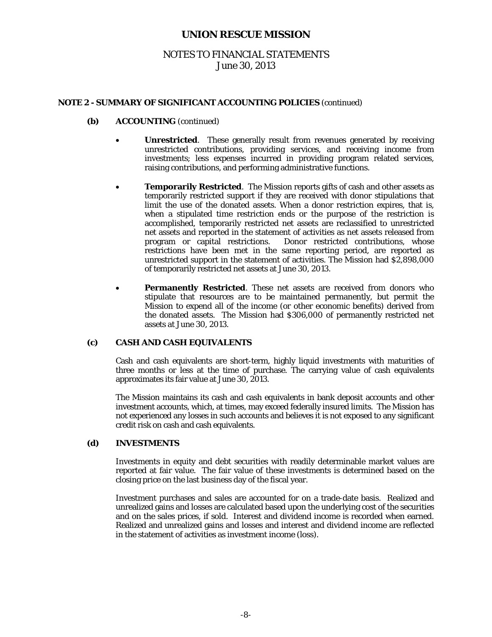# NOTES TO FINANCIAL STATEMENTS June 30, 2013

#### **NOTE 2 - SUMMARY OF SIGNIFICANT ACCOUNTING POLICIES** (continued)

- **(b) ACCOUNTING** (continued)
	- **Unrestricted**. These generally result from revenues generated by receiving unrestricted contributions, providing services, and receiving income from investments; less expenses incurred in providing program related services, raising contributions, and performing administrative functions.
	- **Temporarily Restricted**. The Mission reports gifts of cash and other assets as temporarily restricted support if they are received with donor stipulations that limit the use of the donated assets. When a donor restriction expires, that is, when a stipulated time restriction ends or the purpose of the restriction is accomplished, temporarily restricted net assets are reclassified to unrestricted net assets and reported in the statement of activities as net assets released from program or capital restrictions. Donor restricted contributions, whose restrictions have been met in the same reporting period, are reported as unrestricted support in the statement of activities. The Mission had \$2,898,000 of temporarily restricted net assets at June 30, 2013.
	- **Permanently Restricted**. These net assets are received from donors who stipulate that resources are to be maintained permanently, but permit the Mission to expend all of the income (or other economic benefits) derived from the donated assets. The Mission had \$306,000 of permanently restricted net assets at June 30, 2013.

#### **(c) CASH AND CASH EQUIVALENTS**

Cash and cash equivalents are short-term, highly liquid investments with maturities of three months or less at the time of purchase. The carrying value of cash equivalents approximates its fair value at June 30, 2013.

The Mission maintains its cash and cash equivalents in bank deposit accounts and other investment accounts, which, at times, may exceed federally insured limits. The Mission has not experienced any losses in such accounts and believes it is not exposed to any significant credit risk on cash and cash equivalents.

#### **(d) INVESTMENTS**

Investments in equity and debt securities with readily determinable market values are reported at fair value. The fair value of these investments is determined based on the closing price on the last business day of the fiscal year.

Investment purchases and sales are accounted for on a trade-date basis. Realized and unrealized gains and losses are calculated based upon the underlying cost of the securities and on the sales prices, if sold. Interest and dividend income is recorded when earned. Realized and unrealized gains and losses and interest and dividend income are reflected in the statement of activities as investment income (loss).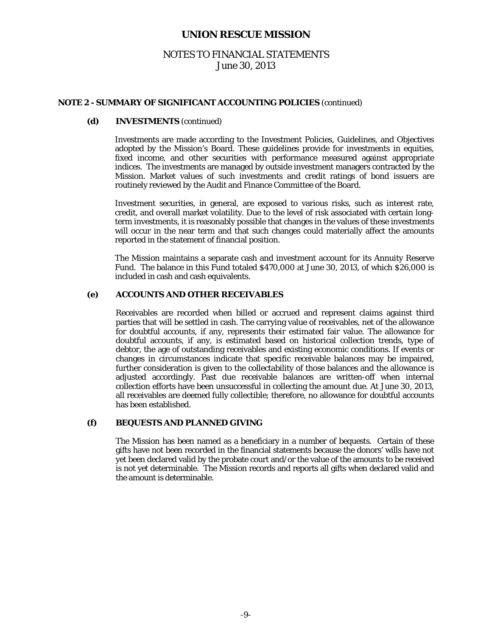# NOTES TO FINANCIAL STATEMENTS June 30, 2013

#### **NOTE 2 - SUMMARY OF SIGNIFICANT ACCOUNTING POLICIES** (continued)

#### **(d) INVESTMENTS** (continued)

Investments are made according to the Investment Policies, Guidelines, and Objectives adopted by the Mission's Board. These guidelines provide for investments in equities, fixed income, and other securities with performance measured against appropriate indices. The investments are managed by outside investment managers contracted by the Mission. Market values of such investments and credit ratings of bond issuers are routinely reviewed by the Audit and Finance Committee of the Board.

Investment securities, in general, are exposed to various risks, such as interest rate, credit, and overall market volatility. Due to the level of risk associated with certain longterm investments, it is reasonably possible that changes in the values of these investments will occur in the near term and that such changes could materially affect the amounts reported in the statement of financial position.

The Mission maintains a separate cash and investment account for its Annuity Reserve Fund. The balance in this Fund totaled \$470,000 at June 30, 2013, of which \$26,000 is included in cash and cash equivalents.

#### **(e) ACCOUNTS AND OTHER RECEIVABLES**

Receivables are recorded when billed or accrued and represent claims against third parties that will be settled in cash. The carrying value of receivables, net of the allowance for doubtful accounts, if any, represents their estimated fair value. The allowance for doubtful accounts, if any, is estimated based on historical collection trends, type of debtor, the age of outstanding receivables and existing economic conditions. If events or changes in circumstances indicate that specific receivable balances may be impaired, further consideration is given to the collectability of those balances and the allowance is adjusted accordingly. Past due receivable balances are written-off when internal collection efforts have been unsuccessful in collecting the amount due. At June 30, 2013, all receivables are deemed fully collectible; therefore, no allowance for doubtful accounts has been established.

#### **(f) BEQUESTS AND PLANNED GIVING**

The Mission has been named as a beneficiary in a number of bequests. Certain of these gifts have not been recorded in the financial statements because the donors' wills have not yet been declared valid by the probate court and/or the value of the amounts to be received is not yet determinable. The Mission records and reports all gifts when declared valid and the amount is determinable.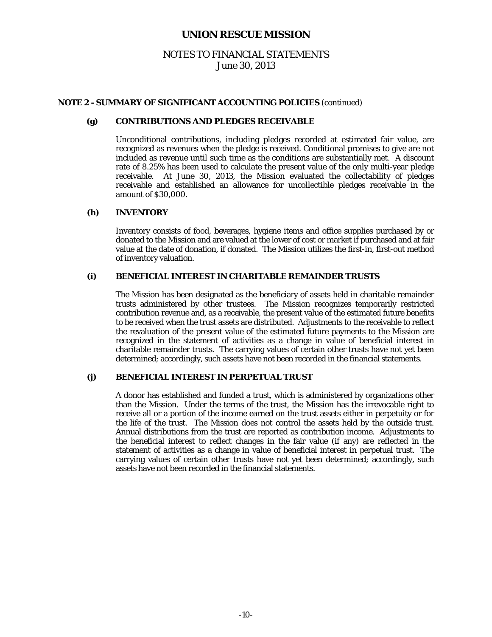# NOTES TO FINANCIAL STATEMENTS June 30, 2013

#### **NOTE 2 - SUMMARY OF SIGNIFICANT ACCOUNTING POLICIES** (continued)

#### **(g) CONTRIBUTIONS AND PLEDGES RECEIVABLE**

Unconditional contributions, including pledges recorded at estimated fair value, are recognized as revenues when the pledge is received. Conditional promises to give are not included as revenue until such time as the conditions are substantially met. A discount rate of 8.25% has been used to calculate the present value of the only multi-year pledge receivable. At June 30, 2013, the Mission evaluated the collectability of pledges receivable and established an allowance for uncollectible pledges receivable in the amount of \$30,000.

#### **(h) INVENTORY**

Inventory consists of food, beverages, hygiene items and office supplies purchased by or donated to the Mission and are valued at the lower of cost or market if purchased and at fair value at the date of donation, if donated. The Mission utilizes the first-in, first-out method of inventory valuation.

#### **(i) BENEFICIAL INTEREST IN CHARITABLE REMAINDER TRUSTS**

The Mission has been designated as the beneficiary of assets held in charitable remainder trusts administered by other trustees. The Mission recognizes temporarily restricted contribution revenue and, as a receivable, the present value of the estimated future benefits to be received when the trust assets are distributed. Adjustments to the receivable to reflect the revaluation of the present value of the estimated future payments to the Mission are recognized in the statement of activities as a change in value of beneficial interest in charitable remainder trusts. The carrying values of certain other trusts have not yet been determined; accordingly, such assets have not been recorded in the financial statements.

#### **(j) BENEFICIAL INTEREST IN PERPETUAL TRUST**

A donor has established and funded a trust, which is administered by organizations other than the Mission. Under the terms of the trust, the Mission has the irrevocable right to receive all or a portion of the income earned on the trust assets either in perpetuity or for the life of the trust. The Mission does not control the assets held by the outside trust. Annual distributions from the trust are reported as contribution income. Adjustments to the beneficial interest to reflect changes in the fair value (if any) are reflected in the statement of activities as a change in value of beneficial interest in perpetual trust. The carrying values of certain other trusts have not yet been determined; accordingly, such assets have not been recorded in the financial statements.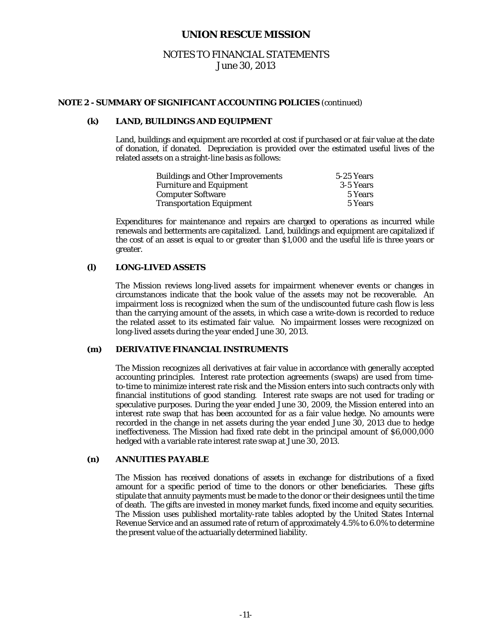# NOTES TO FINANCIAL STATEMENTS June 30, 2013

#### **NOTE 2 - SUMMARY OF SIGNIFICANT ACCOUNTING POLICIES** (continued)

#### **(k) LAND, BUILDINGS AND EQUIPMENT**

Land, buildings and equipment are recorded at cost if purchased or at fair value at the date of donation, if donated. Depreciation is provided over the estimated useful lives of the related assets on a straight-line basis as follows:

| <b>Buildings and Other Improvements</b> | 5-25 Years |
|-----------------------------------------|------------|
| <b>Furniture and Equipment</b>          | 3-5 Years  |
| <b>Computer Software</b>                | 5 Years    |
| Transportation Equipment                | 5 Years    |

Expenditures for maintenance and repairs are charged to operations as incurred while renewals and betterments are capitalized. Land, buildings and equipment are capitalized if the cost of an asset is equal to or greater than \$1,000 and the useful life is three years or greater.

#### **(l) LONG-LIVED ASSETS**

The Mission reviews long-lived assets for impairment whenever events or changes in circumstances indicate that the book value of the assets may not be recoverable. An impairment loss is recognized when the sum of the undiscounted future cash flow is less than the carrying amount of the assets, in which case a write-down is recorded to reduce the related asset to its estimated fair value. No impairment losses were recognized on long-lived assets during the year ended June 30, 2013.

### **(m) DERIVATIVE FINANCIAL INSTRUMENTS**

The Mission recognizes all derivatives at fair value in accordance with generally accepted accounting principles. Interest rate protection agreements (swaps) are used from timeto-time to minimize interest rate risk and the Mission enters into such contracts only with financial institutions of good standing. Interest rate swaps are not used for trading or speculative purposes. During the year ended June 30, 2009, the Mission entered into an interest rate swap that has been accounted for as a fair value hedge. No amounts were recorded in the change in net assets during the year ended June 30, 2013 due to hedge ineffectiveness. The Mission had fixed rate debt in the principal amount of \$6,000,000 hedged with a variable rate interest rate swap at June 30, 2013.

#### **(n) ANNUITIES PAYABLE**

The Mission has received donations of assets in exchange for distributions of a fixed amount for a specific period of time to the donors or other beneficiaries. These gifts stipulate that annuity payments must be made to the donor or their designees until the time of death. The gifts are invested in money market funds, fixed income and equity securities. The Mission uses published mortality-rate tables adopted by the United States Internal Revenue Service and an assumed rate of return of approximately 4.5% to 6.0% to determine the present value of the actuarially determined liability.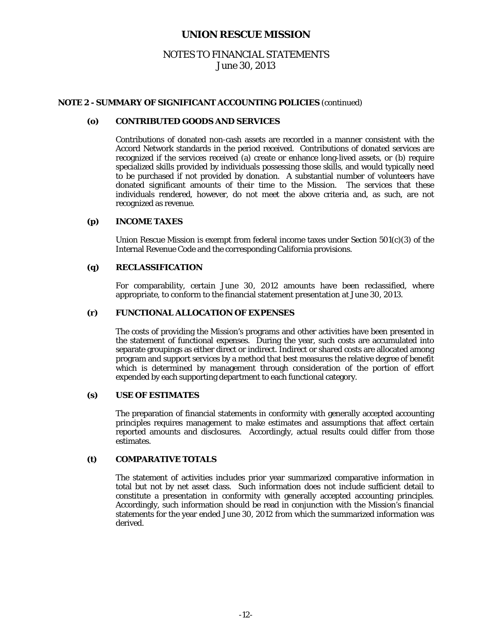# NOTES TO FINANCIAL STATEMENTS June 30, 2013

#### **NOTE 2 - SUMMARY OF SIGNIFICANT ACCOUNTING POLICIES** (continued)

#### **(o) CONTRIBUTED GOODS AND SERVICES**

Contributions of donated non-cash assets are recorded in a manner consistent with the Accord Network standards in the period received. Contributions of donated services are recognized if the services received (a) create or enhance long-lived assets, or (b) require specialized skills provided by individuals possessing those skills, and would typically need to be purchased if not provided by donation. A substantial number of volunteers have donated significant amounts of their time to the Mission. The services that these individuals rendered, however, do not meet the above criteria and, as such, are not recognized as revenue.

#### **(p) INCOME TAXES**

Union Rescue Mission is exempt from federal income taxes under Section  $501(c)(3)$  of the Internal Revenue Code and the corresponding California provisions.

#### **(q) RECLASSIFICATION**

For comparability, certain June 30, 2012 amounts have been reclassified, where appropriate, to conform to the financial statement presentation at June 30, 2013.

#### **(r) FUNCTIONAL ALLOCATION OF EXPENSES**

The costs of providing the Mission's programs and other activities have been presented in the statement of functional expenses. During the year, such costs are accumulated into separate groupings as either direct or indirect. Indirect or shared costs are allocated among program and support services by a method that best measures the relative degree of benefit which is determined by management through consideration of the portion of effort expended by each supporting department to each functional category.

#### **(s) USE OF ESTIMATES**

The preparation of financial statements in conformity with generally accepted accounting principles requires management to make estimates and assumptions that affect certain reported amounts and disclosures. Accordingly, actual results could differ from those estimates.

#### **(t) COMPARATIVE TOTALS**

The statement of activities includes prior year summarized comparative information in total but not by net asset class. Such information does not include sufficient detail to constitute a presentation in conformity with generally accepted accounting principles. Accordingly, such information should be read in conjunction with the Mission's financial statements for the year ended June 30, 2012 from which the summarized information was derived.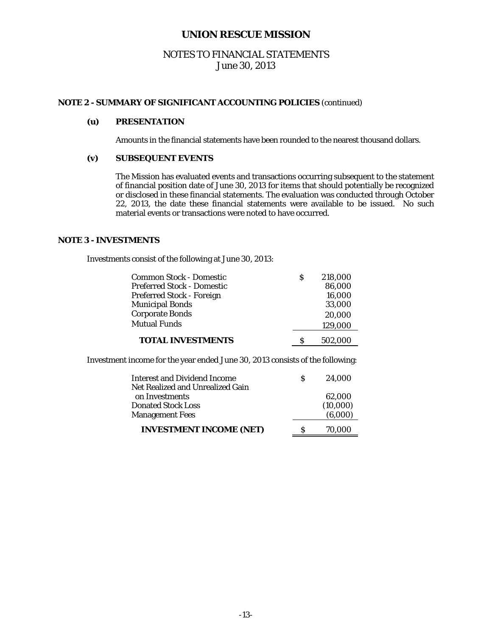# NOTES TO FINANCIAL STATEMENTS June 30, 2013

#### **NOTE 2 - SUMMARY OF SIGNIFICANT ACCOUNTING POLICIES** (continued)

#### **(u) PRESENTATION**

Amounts in the financial statements have been rounded to the nearest thousand dollars.

#### **(v) SUBSEQUENT EVENTS**

The Mission has evaluated events and transactions occurring subsequent to the statement of financial position date of June 30, 2013 for items that should potentially be recognized or disclosed in these financial statements. The evaluation was conducted through October 22, 2013, the date these financial statements were available to be issued. No such material events or transactions were noted to have occurred.

#### **NOTE 3 - INVESTMENTS**

Investments consist of the following at June 30, 2013:

| <b>Common Stock - Domestic</b>    | S | 218,000 |
|-----------------------------------|---|---------|
| <b>Preferred Stock - Domestic</b> |   | 86,000  |
| <b>Preferred Stock - Foreign</b>  |   | 16,000  |
| <b>Municipal Bonds</b>            |   | 33,000  |
| <b>Corporate Bonds</b>            |   | 20,000  |
| <b>Mutual Funds</b>               |   | 129,000 |
| <b>TOTAL INVESTMENTS</b>          | S | 502,000 |

Investment income for the year ended June 30, 2013 consists of the following:

| <b>Interest and Dividend Income</b> | 24.000   |
|-------------------------------------|----------|
| Net Realized and Unrealized Gain    |          |
| on Investments                      | 62.000   |
| <b>Donated Stock Loss</b>           | (10,000) |
| <b>Management Fees</b>              | (6,000)  |
| <b>INVESTMENT INCOME (NET)</b>      | 70,000   |
|                                     |          |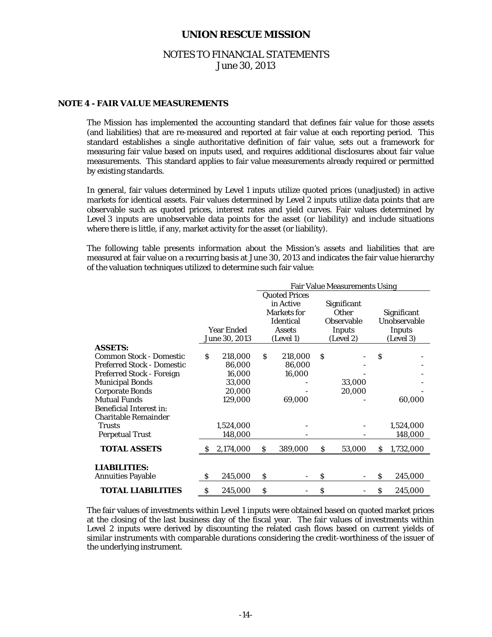# NOTES TO FINANCIAL STATEMENTS June 30, 2013

#### **NOTE 4 - FAIR VALUE MEASUREMENTS**

 The Mission has implemented the accounting standard that defines fair value for those assets (and liabilities) that are re-measured and reported at fair value at each reporting period. This standard establishes a single authoritative definition of fair value, sets out a framework for measuring fair value based on inputs used, and requires additional disclosures about fair value measurements. This standard applies to fair value measurements already required or permitted by existing standards.

 In general, fair values determined by Level 1 inputs utilize quoted prices (unadjusted) in active markets for identical assets. Fair values determined by Level 2 inputs utilize data points that are observable such as quoted prices, interest rates and yield curves. Fair values determined by Level 3 inputs are unobservable data points for the asset (or liability) and include situations where there is little, if any, market activity for the asset (or liability).

 The following table presents information about the Mission's assets and liabilities that are measured at fair value on a recurring basis at June 30, 2013 and indicates the fair value hierarchy of the valuation techniques utilized to determine such fair value:

|                                   |    |                   | <b>Fair Value Measurements Using</b> |                      |    |                    |    |                    |  |  |
|-----------------------------------|----|-------------------|--------------------------------------|----------------------|----|--------------------|----|--------------------|--|--|
|                                   |    |                   |                                      | <b>Quoted Prices</b> |    |                    |    |                    |  |  |
|                                   |    |                   |                                      | in Active            |    | <b>Significant</b> |    |                    |  |  |
|                                   |    |                   |                                      | <b>Markets for</b>   |    | <b>Other</b>       |    | <b>Significant</b> |  |  |
|                                   |    |                   |                                      | <b>Identical</b>     |    | Observable         |    | Unobservable       |  |  |
|                                   |    | <b>Year Ended</b> |                                      | Assets               |    | <b>Inputs</b>      |    | <b>Inputs</b>      |  |  |
|                                   |    | June 30, 2013     |                                      | (Level 1)            |    | (Level 2)          |    | (Level 3)          |  |  |
| <b>ASSETS:</b>                    |    |                   |                                      |                      |    |                    |    |                    |  |  |
| <b>Common Stock - Domestic</b>    | Ś  | 218,000           | Ś                                    | 218,000              | Ŝ  |                    | Ŝ  |                    |  |  |
| <b>Preferred Stock - Domestic</b> |    | 86,000            |                                      | 86,000               |    |                    |    |                    |  |  |
| Preferred Stock - Foreign         |    | 16,000            |                                      | 16,000               |    |                    |    |                    |  |  |
| <b>Municipal Bonds</b>            |    | 33,000            |                                      |                      |    | 33,000             |    |                    |  |  |
| <b>Corporate Bonds</b>            |    | 20,000            |                                      |                      |    | 20,000             |    |                    |  |  |
| <b>Mutual Funds</b>               |    | 129,000           |                                      | 69,000               |    |                    |    | 60,000             |  |  |
| <b>Beneficial Interest in:</b>    |    |                   |                                      |                      |    |                    |    |                    |  |  |
| <b>Charitable Remainder</b>       |    |                   |                                      |                      |    |                    |    |                    |  |  |
| <b>Trusts</b>                     |    | 1,524,000         |                                      |                      |    |                    |    | 1,524,000          |  |  |
| <b>Perpetual Trust</b>            |    | 148,000           |                                      |                      |    |                    |    | 148,000            |  |  |
| <b>TOTAL ASSETS</b>               | S  | 2,174,000         | \$                                   | 389,000              | \$ | 53,000             | S. | 1,732,000          |  |  |
|                                   |    |                   |                                      |                      |    |                    |    |                    |  |  |
| <b>LIABILITIES:</b>               |    |                   |                                      |                      |    |                    |    |                    |  |  |
| <b>Annuities Payable</b>          | S  | 245,000           | \$                                   |                      | s  |                    | Ŝ  | 245,000            |  |  |
| <b>TOTAL LIABILITIES</b>          | \$ | 245,000           | \$                                   |                      | Ś  |                    | Ŝ  | 245,000            |  |  |

The fair values of investments within Level 1 inputs were obtained based on quoted market prices at the closing of the last business day of the fiscal year. The fair values of investments within Level 2 inputs were derived by discounting the related cash flows based on current yields of similar instruments with comparable durations considering the credit-worthiness of the issuer of the underlying instrument.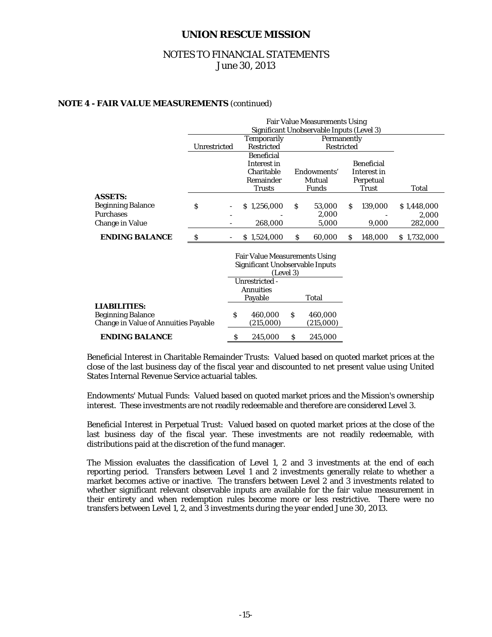# NOTES TO FINANCIAL STATEMENTS June 30, 2013

#### **NOTE 4 - FAIR VALUE MEASUREMENTS** (continued)

|                          |                               | Significant Unobservable Inputs (Level 3) |             |                   |             |  |  |  |  |  |  |
|--------------------------|-------------------------------|-------------------------------------------|-------------|-------------------|-------------|--|--|--|--|--|--|
|                          |                               | <b>Temporarily</b>                        |             | Permanently       |             |  |  |  |  |  |  |
|                          | Unrestricted                  | Restricted                                |             | Restricted        |             |  |  |  |  |  |  |
|                          |                               | <b>Beneficial</b>                         |             |                   |             |  |  |  |  |  |  |
|                          |                               | Interest in                               |             | <b>Beneficial</b> |             |  |  |  |  |  |  |
|                          |                               | Charitable                                | Endowments' | Interest in       |             |  |  |  |  |  |  |
|                          |                               | <b>Remainder</b>                          | Mutual      | Perpetual         |             |  |  |  |  |  |  |
|                          |                               | <b>Trusts</b>                             | Funds       | Trust             | Total       |  |  |  |  |  |  |
| <b>ASSETS:</b>           |                               |                                           |             |                   |             |  |  |  |  |  |  |
| <b>Beginning Balance</b> | s<br>$\overline{\phantom{0}}$ | \$1.256,000                               | 53,000<br>S | 139.000<br>S      | \$1,448,000 |  |  |  |  |  |  |
| <b>Purchases</b>         |                               |                                           | 2,000       |                   | 2,000       |  |  |  |  |  |  |
| <b>Change in Value</b>   |                               | 268,000                                   | 5,000       | 9,000             | 282,000     |  |  |  |  |  |  |
| <b>ENDING BALANCE</b>    | o                             | \$1,524,000                               | 60.000<br>S | 148.000<br>S      | \$1,732,000 |  |  |  |  |  |  |

|                                                                                                |   | <b>Fair Value Measurements Using</b><br>Significant Unobservable Inputs<br>(Level 3) |   |                      |  |  |
|------------------------------------------------------------------------------------------------|---|--------------------------------------------------------------------------------------|---|----------------------|--|--|
|                                                                                                |   | Unrestricted -<br><b>Annuities</b><br>Payable                                        |   | Total                |  |  |
| <b>LIABILITIES:</b><br><b>Beginning Balance</b><br><b>Change in Value of Annuities Payable</b> |   | 460,000<br>(215,000)                                                                 | s | 460,000<br>(215,000) |  |  |
| <b>ENDING BALANCE</b>                                                                          | S | 245,000                                                                              | S | 245,000              |  |  |

 Beneficial Interest in Charitable Remainder Trusts: Valued based on quoted market prices at the close of the last business day of the fiscal year and discounted to net present value using United States Internal Revenue Service actuarial tables.

 Endowments' Mutual Funds: Valued based on quoted market prices and the Mission's ownership interest. These investments are not readily redeemable and therefore are considered Level 3.

 Beneficial Interest in Perpetual Trust: Valued based on quoted market prices at the close of the last business day of the fiscal year. These investments are not readily redeemable, with distributions paid at the discretion of the fund manager.

The Mission evaluates the classification of Level 1, 2 and 3 investments at the end of each reporting period. Transfers between Level 1 and 2 investments generally relate to whether a market becomes active or inactive. The transfers between Level 2 and 3 investments related to whether significant relevant observable inputs are available for the fair value measurement in their entirety and when redemption rules become more or less restrictive. There were no transfers between Level 1, 2, and 3 investments during the year ended June 30, 2013.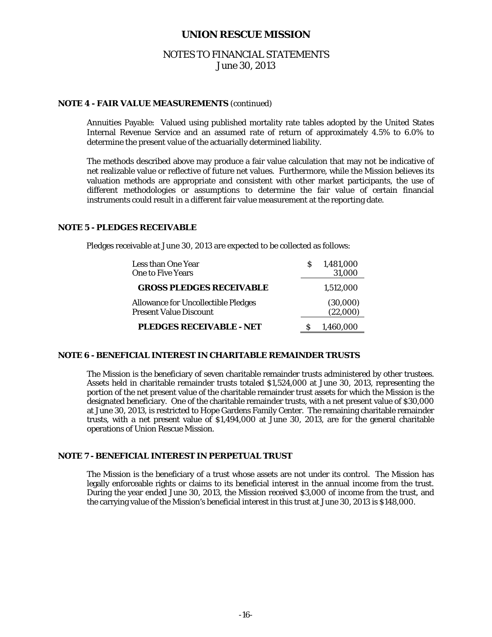# NOTES TO FINANCIAL STATEMENTS June 30, 2013

#### **NOTE 4 - FAIR VALUE MEASUREMENTS** (continued)

 Annuities Payable: Valued using published mortality rate tables adopted by the United States Internal Revenue Service and an assumed rate of return of approximately 4.5% to 6.0% to determine the present value of the actuarially determined liability.

 The methods described above may produce a fair value calculation that may not be indicative of net realizable value or reflective of future net values. Furthermore, while the Mission believes its valuation methods are appropriate and consistent with other market participants, the use of different methodologies or assumptions to determine the fair value of certain financial instruments could result in a different fair value measurement at the reporting date.

#### **NOTE 5 - PLEDGES RECEIVABLE**

Pledges receivable at June 30, 2013 are expected to be collected as follows:

| Less than One Year                                                          | 1,481,000            |
|-----------------------------------------------------------------------------|----------------------|
| <b>One to Five Years</b>                                                    | 31.000               |
| <b>GROSS PLEDGES RECEIVABLE</b>                                             | 1.512.000            |
| <b>Allowance for Uncollectible Pledges</b><br><b>Present Value Discount</b> | (30,000)<br>(22,000) |
| <b>PLEDGES RECEIVABLE - NET</b>                                             | 1,460,000            |

#### **NOTE 6 - BENEFICIAL INTEREST IN CHARITABLE REMAINDER TRUSTS**

The Mission is the beneficiary of seven charitable remainder trusts administered by other trustees. Assets held in charitable remainder trusts totaled \$1,524,000 at June 30, 2013, representing the portion of the net present value of the charitable remainder trust assets for which the Mission is the designated beneficiary. One of the charitable remainder trusts, with a net present value of \$30,000 at June 30, 2013, is restricted to Hope Gardens Family Center. The remaining charitable remainder trusts, with a net present value of \$1,494,000 at June 30, 2013, are for the general charitable operations of Union Rescue Mission.

### **NOTE 7 - BENEFICIAL INTEREST IN PERPETUAL TRUST**

The Mission is the beneficiary of a trust whose assets are not under its control. The Mission has legally enforceable rights or claims to its beneficial interest in the annual income from the trust. During the year ended June 30, 2013, the Mission received \$3,000 of income from the trust, and the carrying value of the Mission's beneficial interest in this trust at June 30, 2013 is \$148,000.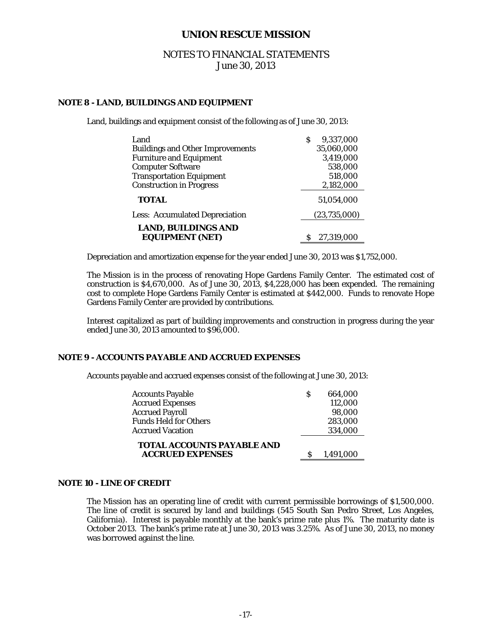# NOTES TO FINANCIAL STATEMENTS June 30, 2013

#### **NOTE 8 - LAND, BUILDINGS AND EQUIPMENT**

Land, buildings and equipment consist of the following as of June 30, 2013:

| Land                                                 | 9,337,000<br>S |
|------------------------------------------------------|----------------|
| <b>Buildings and Other Improvements</b>              | 35,060,000     |
| <b>Furniture and Equipment</b>                       | 3,419,000      |
| <b>Computer Software</b>                             | 538,000        |
| <b>Transportation Equipment</b>                      | 518,000        |
| <b>Construction in Progress</b>                      | 2,182,000      |
| <b>TOTAL</b>                                         | 51.054.000     |
| <b>Less: Accumulated Depreciation</b>                | (23,735,000)   |
| <b>LAND, BUILDINGS AND</b><br><b>EQUIPMENT (NET)</b> | 27,319,000     |

Depreciation and amortization expense for the year ended June 30, 2013 was \$1,752,000.

The Mission is in the process of renovating Hope Gardens Family Center. The estimated cost of construction is \$4,670,000. As of June 30, 2013, \$4,228,000 has been expended. The remaining cost to complete Hope Gardens Family Center is estimated at \$442,000. Funds to renovate Hope Gardens Family Center are provided by contributions.

Interest capitalized as part of building improvements and construction in progress during the year ended June 30, 2013 amounted to \$96,000.

#### **NOTE 9 - ACCOUNTS PAYABLE AND ACCRUED EXPENSES**

Accounts payable and accrued expenses consist of the following at June 30, 2013:

| <b>Accounts Payable</b>           | 664,000   |
|-----------------------------------|-----------|
| <b>Accrued Expenses</b>           | 112,000   |
| <b>Accrued Payroll</b>            | 98,000    |
| <b>Funds Held for Others</b>      | 283,000   |
| <b>Accrued Vacation</b>           | 334,000   |
| <b>TOTAL ACCOUNTS PAYABLE AND</b> |           |
| <b>ACCRUED EXPENSES</b>           | 1.491.000 |

#### **NOTE 10 - LINE OF CREDIT**

 The Mission has an operating line of credit with current permissible borrowings of \$1,500,000. The line of credit is secured by land and buildings (545 South San Pedro Street, Los Angeles, California). Interest is payable monthly at the bank's prime rate plus 1%. The maturity date is October 2013. The bank's prime rate at June 30, 2013 was 3.25%. As of June 30, 2013, no money was borrowed against the line.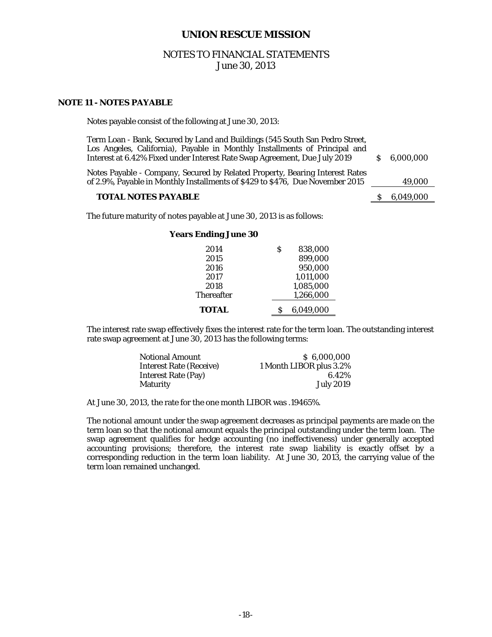# NOTES TO FINANCIAL STATEMENTS June 30, 2013

#### **NOTE 11 - NOTES PAYABLE**

Notes payable consist of the following at June 30, 2013:

| Term Loan - Bank, Secured by Land and Buildings (545 South San Pedro Street,<br>Los Angeles, California), Payable in Monthly Installments of Principal and<br>Interest at 6.42% Fixed under Interest Rate Swap Agreement, Due July 2019 | S | 6,000,000 |
|-----------------------------------------------------------------------------------------------------------------------------------------------------------------------------------------------------------------------------------------|---|-----------|
| Notes Payable - Company, Secured by Related Property, Bearing Interest Rates<br>of 2.9%, Payable in Monthly Installments of \$429 to \$476, Due November 2015                                                                           |   | 49,000    |
| <b>TOTAL NOTES PAYABLE</b>                                                                                                                                                                                                              |   | 6,049,000 |

The future maturity of notes payable at June 30, 2013 is as follows:

# **Years Ending June 30**

| 2014              | S | 838,000   |
|-------------------|---|-----------|
| 2015              |   | 899,000   |
| 2016              |   | 950,000   |
| 2017              |   | 1,011,000 |
| 2018              |   | 1,085,000 |
| <b>Thereafter</b> |   | 1,266,000 |
| <b>TOTAL</b>      | S | 6,049,000 |

The interest rate swap effectively fixes the interest rate for the term loan. The outstanding interest rate swap agreement at June 30, 2013 has the following terms:

| <b>Notional Amount</b>         | \$ 6,000,000            |
|--------------------------------|-------------------------|
| <b>Interest Rate (Receive)</b> | 1 Month LIBOR plus 3.2% |
| <b>Interest Rate (Pay)</b>     | 6.42%                   |
| <b>Maturity</b>                | <b>July 2019</b>        |

At June 30, 2013, the rate for the one month LIBOR was .19465%.

The notional amount under the swap agreement decreases as principal payments are made on the term loan so that the notional amount equals the principal outstanding under the term loan. The swap agreement qualifies for hedge accounting (no ineffectiveness) under generally accepted accounting provisions; therefore, the interest rate swap liability is exactly offset by a corresponding reduction in the term loan liability. At June 30, 2013, the carrying value of the term loan remained unchanged.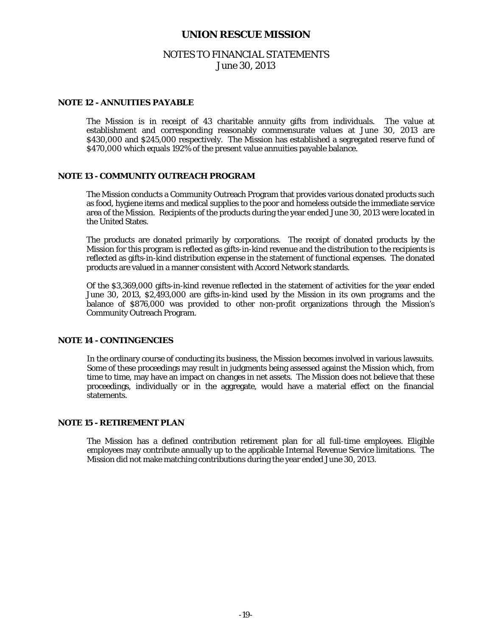# NOTES TO FINANCIAL STATEMENTS June 30, 2013

#### **NOTE 12 - ANNUITIES PAYABLE**

 The Mission is in receipt of 43 charitable annuity gifts from individuals. The value at establishment and corresponding reasonably commensurate values at June 30, 2013 are \$430,000 and \$245,000 respectively. The Mission has established a segregated reserve fund of \$470,000 which equals 192% of the present value annuities payable balance.

#### **NOTE 13 - COMMUNITY OUTREACH PROGRAM**

The Mission conducts a Community Outreach Program that provides various donated products such as food, hygiene items and medical supplies to the poor and homeless outside the immediate service area of the Mission. Recipients of the products during the year ended June 30, 2013 were located in the United States.

 The products are donated primarily by corporations. The receipt of donated products by the Mission for this program is reflected as gifts-in-kind revenue and the distribution to the recipients is reflected as gifts-in-kind distribution expense in the statement of functional expenses. The donated products are valued in a manner consistent with Accord Network standards.

 Of the \$3,369,000 gifts-in-kind revenue reflected in the statement of activities for the year ended June 30, 2013, \$2,493,000 are gifts-in-kind used by the Mission in its own programs and the balance of \$876,000 was provided to other non-profit organizations through the Mission's Community Outreach Program.

#### **NOTE 14 - CONTINGENCIES**

 In the ordinary course of conducting its business, the Mission becomes involved in various lawsuits. Some of these proceedings may result in judgments being assessed against the Mission which, from time to time, may have an impact on changes in net assets. The Mission does not believe that these proceedings, individually or in the aggregate, would have a material effect on the financial statements.

#### **NOTE 15 - RETIREMENT PLAN**

 The Mission has a defined contribution retirement plan for all full-time employees. Eligible employees may contribute annually up to the applicable Internal Revenue Service limitations. The Mission did not make matching contributions during the year ended June 30, 2013.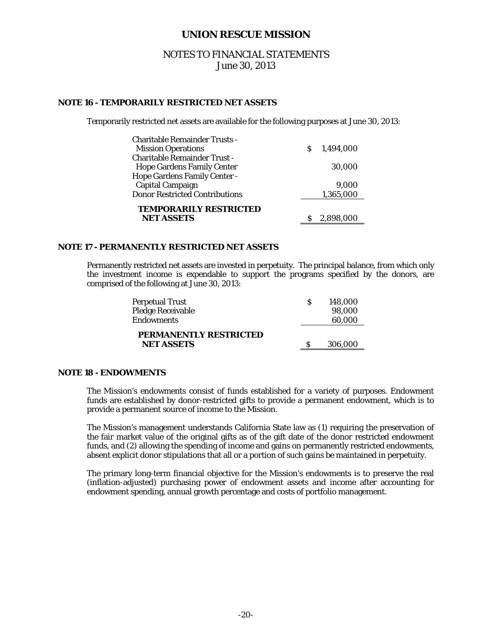# NOTES TO FINANCIAL STATEMENTS June 30, 2013

#### **NOTE 16 - TEMPORARILY RESTRICTED NET ASSETS**

Temporarily restricted net assets are available for the following purposes at June 30, 2013:

| S | 1,494,000 |
|---|-----------|
|   |           |
|   | 30,000    |
|   |           |
|   | 9,000     |
|   | 1,365,000 |
|   | 2.898,000 |
|   |           |

#### **NOTE 17 - PERMANENTLY RESTRICTED NET ASSETS**

 Permanently restricted net assets are invested in perpetuity. The principal balance, from which only the investment income is expendable to support the programs specified by the donors, are comprised of the following at June 30, 2013:

| Perpetual Trust                             | S | 148,000 |
|---------------------------------------------|---|---------|
| Pledge Receivable                           |   | 98.000  |
| <b>Endowments</b>                           |   | 60.000  |
| PERMANENTLY RESTRICTED<br><b>NET ASSETS</b> |   | 306,000 |

#### **NOTE 18 - ENDOWMENTS**

The Mission's endowments consist of funds established for a variety of purposes. Endowment funds are established by donor-restricted gifts to provide a permanent endowment, which is to provide a permanent source of income to the Mission.

The Mission's management understands California State law as (1) requiring the preservation of the fair market value of the original gifts as of the gift date of the donor restricted endowment funds, and (2) allowing the spending of income and gains on permanently restricted endowments, absent explicit donor stipulations that all or a portion of such gains be maintained in perpetuity.

The primary long-term financial objective for the Mission's endowments is to preserve the real (inflation-adjusted) purchasing power of endowment assets and income after accounting for endowment spending, annual growth percentage and costs of portfolio management.